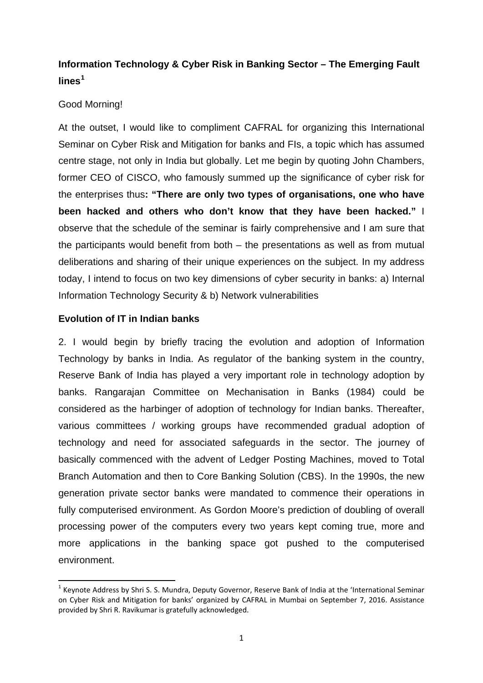# **Information Technology & Cyber Risk in Banking Sector – The Emerging Fault lines[1](#page-0-0)**

# Good Morning!

At the outset, I would like to compliment CAFRAL for organizing this International Seminar on Cyber Risk and Mitigation for banks and FIs, a topic which has assumed centre stage, not only in India but globally. Let me begin by quoting John Chambers, former CEO of CISCO, who famously summed up the significance of cyber risk for the enterprises thus**: "There are only two types of organisations, one who have been hacked and others who don't know that they have been hacked."** I observe that the schedule of the seminar is fairly comprehensive and I am sure that the participants would benefit from both – the presentations as well as from mutual deliberations and sharing of their unique experiences on the subject. In my address today, I intend to focus on two key dimensions of cyber security in banks: a) Internal Information Technology Security & b) Network vulnerabilities

# **Evolution of IT in Indian banks**

**.** 

2. I would begin by briefly tracing the evolution and adoption of Information Technology by banks in India. As regulator of the banking system in the country, Reserve Bank of India has played a very important role in technology adoption by banks. Rangarajan Committee on Mechanisation in Banks (1984) could be considered as the harbinger of adoption of technology for Indian banks. Thereafter, various committees / working groups have recommended gradual adoption of technology and need for associated safeguards in the sector. The journey of basically commenced with the advent of Ledger Posting Machines, moved to Total Branch Automation and then to Core Banking Solution (CBS). In the 1990s, the new generation private sector banks were mandated to commence their operations in fully computerised environment. As Gordon Moore's prediction of doubling of overall processing power of the computers every two years kept coming true, more and more applications in the banking space got pushed to the computerised environment.

<span id="page-0-0"></span> $1$  Keynote Address by Shri S. S. Mundra, Deputy Governor, Reserve Bank of India at the 'International Seminar on Cyber Risk and Mitigation for banks' organized by CAFRAL in Mumbai on September 7, 2016. Assistance provided by Shri R. Ravikumar is gratefully acknowledged.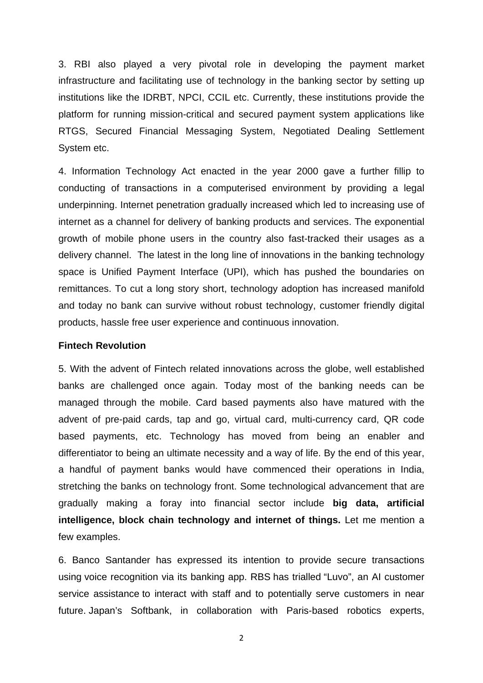3. RBI also played a very pivotal role in developing the payment market infrastructure and facilitating use of technology in the banking sector by setting up institutions like the IDRBT, NPCI, CCIL etc. Currently, these institutions provide the platform for running mission-critical and secured payment system applications like RTGS, Secured Financial Messaging System, Negotiated Dealing Settlement System etc.

4. Information Technology Act enacted in the year 2000 gave a further fillip to conducting of transactions in a computerised environment by providing a legal underpinning. Internet penetration gradually increased which led to increasing use of internet as a channel for delivery of banking products and services. The exponential growth of mobile phone users in the country also fast-tracked their usages as a delivery channel. The latest in the long line of innovations in the banking technology space is Unified Payment Interface (UPI), which has pushed the boundaries on remittances. To cut a long story short, technology adoption has increased manifold and today no bank can survive without robust technology, customer friendly digital products, hassle free user experience and continuous innovation.

### **Fintech Revolution**

5. With the advent of Fintech related innovations across the globe, well established banks are challenged once again. Today most of the banking needs can be managed through the mobile. Card based payments also have matured with the advent of pre-paid cards, tap and go, virtual card, multi-currency card, QR code based payments, etc. Technology has moved from being an enabler and differentiator to being an ultimate necessity and a way of life. By the end of this year, a handful of payment banks would have commenced their operations in India, stretching the banks on technology front. Some technological advancement that are gradually making a foray into financial sector include **big data, artificial intelligence, block chain technology and internet of things.** Let me mention a few examples.

6. Banco Santander has expressed its intention to provide secure transactions using voice recognition via its banking app. RBS has trialled "Luvo", an AI customer service assistance to interact with staff and to potentially serve customers in near future. Japan's Softbank, in collaboration with Paris-based robotics experts,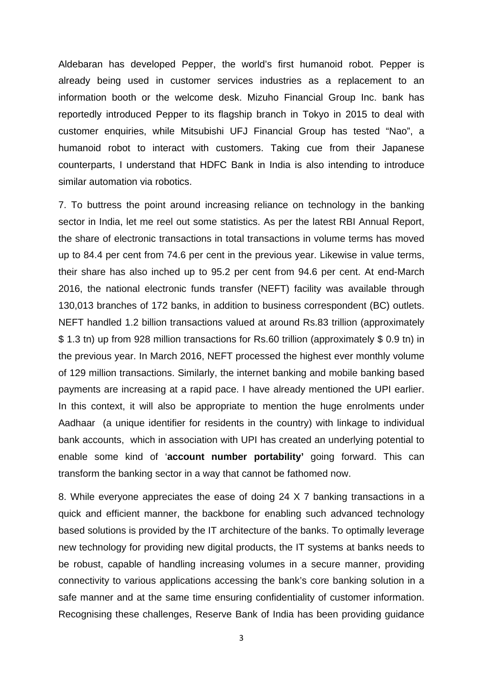Aldebaran has developed Pepper, the world's first humanoid robot. Pepper is already being used in customer services industries as a replacement to an information booth or the welcome desk. Mizuho Financial Group Inc. bank has reportedly introduced Pepper to its flagship branch in Tokyo in 2015 to deal with customer enquiries, while Mitsubishi UFJ Financial Group has tested "Nao", a humanoid robot to interact with customers. Taking cue from their Japanese counterparts, I understand that HDFC Bank in India is also intending to introduce similar automation via robotics.

7. To buttress the point around increasing reliance on technology in the banking sector in India, let me reel out some statistics. As per the latest RBI Annual Report, the share of electronic transactions in total transactions in volume terms has moved up to 84.4 per cent from 74.6 per cent in the previous year. Likewise in value terms, their share has also inched up to 95.2 per cent from 94.6 per cent. At end-March 2016, the national electronic funds transfer (NEFT) facility was available through 130,013 branches of 172 banks, in addition to business correspondent (BC) outlets. NEFT handled 1.2 billion transactions valued at around Rs.83 trillion (approximately \$ 1.3 tn) up from 928 million transactions for Rs.60 trillion (approximately \$ 0.9 tn) in the previous year. In March 2016, NEFT processed the highest ever monthly volume of 129 million transactions. Similarly, the internet banking and mobile banking based payments are increasing at a rapid pace. I have already mentioned the UPI earlier. In this context, it will also be appropriate to mention the huge enrolments under Aadhaar (a unique identifier for residents in the country) with linkage to individual bank accounts, which in association with UPI has created an underlying potential to enable some kind of '**account number portability'** going forward. This can transform the banking sector in a way that cannot be fathomed now.

8. While everyone appreciates the ease of doing 24 X 7 banking transactions in a quick and efficient manner, the backbone for enabling such advanced technology based solutions is provided by the IT architecture of the banks. To optimally leverage new technology for providing new digital products, the IT systems at banks needs to be robust, capable of handling increasing volumes in a secure manner, providing connectivity to various applications accessing the bank's core banking solution in a safe manner and at the same time ensuring confidentiality of customer information. Recognising these challenges, Reserve Bank of India has been providing guidance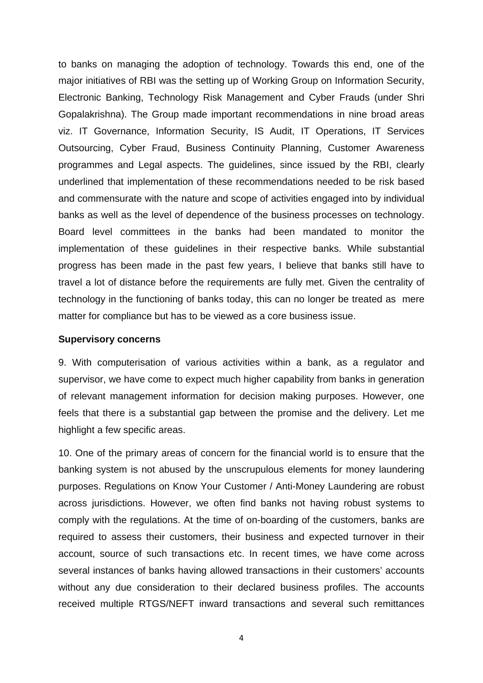to banks on managing the adoption of technology. Towards this end, one of the major initiatives of RBI was the setting up of Working Group on Information Security, Electronic Banking, Technology Risk Management and Cyber Frauds (under Shri Gopalakrishna). The Group made important recommendations in nine broad areas viz. IT Governance, Information Security, IS Audit, IT Operations, IT Services Outsourcing, Cyber Fraud, Business Continuity Planning, Customer Awareness programmes and Legal aspects. The guidelines, since issued by the RBI, clearly underlined that implementation of these recommendations needed to be risk based and commensurate with the nature and scope of activities engaged into by individual banks as well as the level of dependence of the business processes on technology. Board level committees in the banks had been mandated to monitor the implementation of these guidelines in their respective banks. While substantial progress has been made in the past few years, I believe that banks still have to travel a lot of distance before the requirements are fully met. Given the centrality of technology in the functioning of banks today, this can no longer be treated as mere matter for compliance but has to be viewed as a core business issue.

#### **Supervisory concerns**

9. With computerisation of various activities within a bank, as a regulator and supervisor, we have come to expect much higher capability from banks in generation of relevant management information for decision making purposes. However, one feels that there is a substantial gap between the promise and the delivery. Let me highlight a few specific areas.

10. One of the primary areas of concern for the financial world is to ensure that the banking system is not abused by the unscrupulous elements for money laundering purposes. Regulations on Know Your Customer / Anti-Money Laundering are robust across jurisdictions. However, we often find banks not having robust systems to comply with the regulations. At the time of on-boarding of the customers, banks are required to assess their customers, their business and expected turnover in their account, source of such transactions etc. In recent times, we have come across several instances of banks having allowed transactions in their customers' accounts without any due consideration to their declared business profiles. The accounts received multiple RTGS/NEFT inward transactions and several such remittances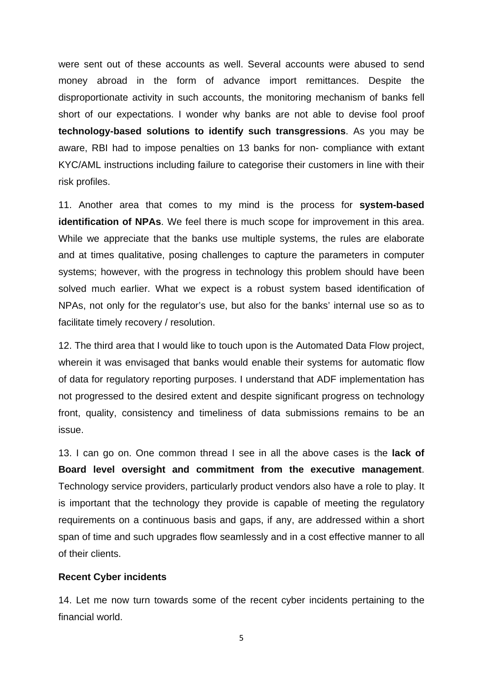were sent out of these accounts as well. Several accounts were abused to send money abroad in the form of advance import remittances. Despite the disproportionate activity in such accounts, the monitoring mechanism of banks fell short of our expectations. I wonder why banks are not able to devise fool proof **technology-based solutions to identify such transgressions**. As you may be aware, RBI had to impose penalties on 13 banks for non- compliance with extant KYC/AML instructions including failure to categorise their customers in line with their risk profiles.

11. Another area that comes to my mind is the process for **system-based identification of NPAs**. We feel there is much scope for improvement in this area. While we appreciate that the banks use multiple systems, the rules are elaborate and at times qualitative, posing challenges to capture the parameters in computer systems; however, with the progress in technology this problem should have been solved much earlier. What we expect is a robust system based identification of NPAs, not only for the regulator's use, but also for the banks' internal use so as to facilitate timely recovery / resolution.

12. The third area that I would like to touch upon is the Automated Data Flow project, wherein it was envisaged that banks would enable their systems for automatic flow of data for regulatory reporting purposes. I understand that ADF implementation has not progressed to the desired extent and despite significant progress on technology front, quality, consistency and timeliness of data submissions remains to be an issue.

13. I can go on. One common thread I see in all the above cases is the **lack of Board level oversight and commitment from the executive management**. Technology service providers, particularly product vendors also have a role to play. It is important that the technology they provide is capable of meeting the regulatory requirements on a continuous basis and gaps, if any, are addressed within a short span of time and such upgrades flow seamlessly and in a cost effective manner to all of their clients.

### **Recent Cyber incidents**

14. Let me now turn towards some of the recent cyber incidents pertaining to the financial world.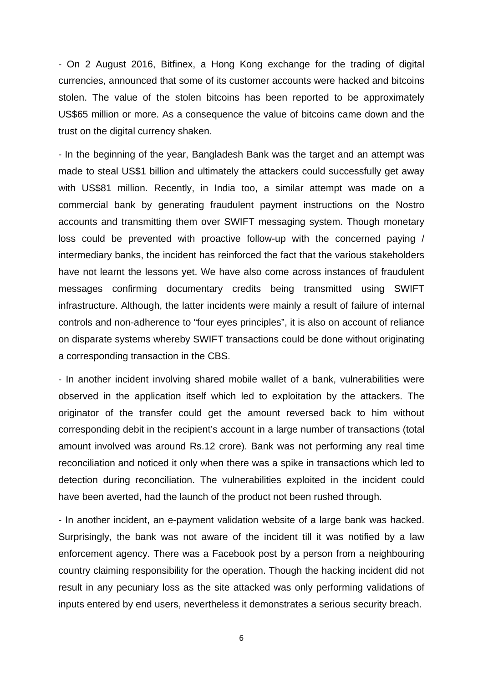- On 2 August 2016, Bitfinex, a Hong Kong exchange for the trading of digital currencies, announced that some of its customer accounts were hacked and bitcoins stolen. The value of the stolen bitcoins has been reported to be approximately US\$65 million or more. As a consequence the value of bitcoins came down and the trust on the digital currency shaken.

- In the beginning of the year, Bangladesh Bank was the target and an attempt was made to steal US\$1 billion and ultimately the attackers could successfully get away with US\$81 million. Recently, in India too, a similar attempt was made on a commercial bank by generating fraudulent payment instructions on the Nostro accounts and transmitting them over SWIFT messaging system. Though monetary loss could be prevented with proactive follow-up with the concerned paying / intermediary banks, the incident has reinforced the fact that the various stakeholders have not learnt the lessons yet. We have also come across instances of fraudulent messages confirming documentary credits being transmitted using SWIFT infrastructure. Although, the latter incidents were mainly a result of failure of internal controls and non-adherence to "four eyes principles", it is also on account of reliance on disparate systems whereby SWIFT transactions could be done without originating a corresponding transaction in the CBS.

- In another incident involving shared mobile wallet of a bank, vulnerabilities were observed in the application itself which led to exploitation by the attackers. The originator of the transfer could get the amount reversed back to him without corresponding debit in the recipient's account in a large number of transactions (total amount involved was around Rs.12 crore). Bank was not performing any real time reconciliation and noticed it only when there was a spike in transactions which led to detection during reconciliation. The vulnerabilities exploited in the incident could have been averted, had the launch of the product not been rushed through.

- In another incident, an e-payment validation website of a large bank was hacked. Surprisingly, the bank was not aware of the incident till it was notified by a law enforcement agency. There was a Facebook post by a person from a neighbouring country claiming responsibility for the operation. Though the hacking incident did not result in any pecuniary loss as the site attacked was only performing validations of inputs entered by end users, nevertheless it demonstrates a serious security breach.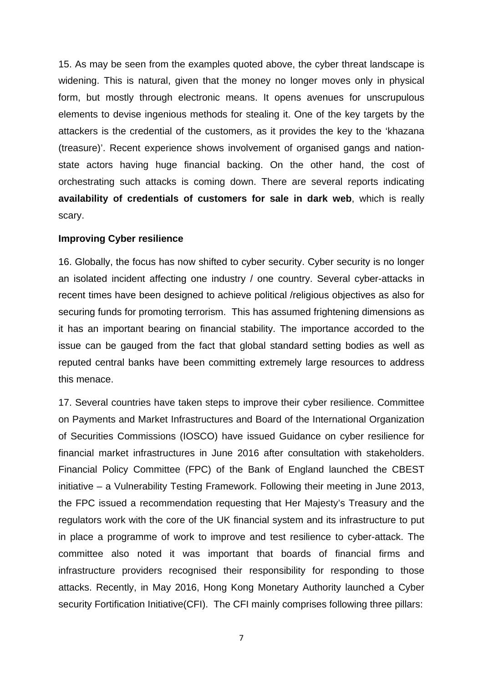15. As may be seen from the examples quoted above, the cyber threat landscape is widening. This is natural, given that the money no longer moves only in physical form, but mostly through electronic means. It opens avenues for unscrupulous elements to devise ingenious methods for stealing it. One of the key targets by the attackers is the credential of the customers, as it provides the key to the 'khazana (treasure)'. Recent experience shows involvement of organised gangs and nationstate actors having huge financial backing. On the other hand, the cost of orchestrating such attacks is coming down. There are several reports indicating **availability of credentials of customers for sale in dark web**, which is really scary.

### **Improving Cyber resilience**

16. Globally, the focus has now shifted to cyber security. Cyber security is no longer an isolated incident affecting one industry / one country. Several cyber-attacks in recent times have been designed to achieve political /religious objectives as also for securing funds for promoting terrorism. This has assumed frightening dimensions as it has an important bearing on financial stability. The importance accorded to the issue can be gauged from the fact that global standard setting bodies as well as reputed central banks have been committing extremely large resources to address this menace.

17. Several countries have taken steps to improve their cyber resilience. Committee on Payments and Market Infrastructures and Board of the International Organization of Securities Commissions (IOSCO) have issued Guidance on cyber resilience for financial market infrastructures in June 2016 after consultation with stakeholders. Financial Policy Committee (FPC) of the Bank of England launched the CBEST initiative – a Vulnerability Testing Framework. Following their meeting in June 2013, the FPC issued a recommendation requesting that Her Majesty's Treasury and the regulators work with the core of the UK financial system and its infrastructure to put in place a programme of work to improve and test resilience to cyber-attack. The committee also noted it was important that boards of financial firms and infrastructure providers recognised their responsibility for responding to those attacks. Recently, in May 2016, Hong Kong Monetary Authority launched a Cyber security Fortification Initiative(CFI). The CFI mainly comprises following three pillars: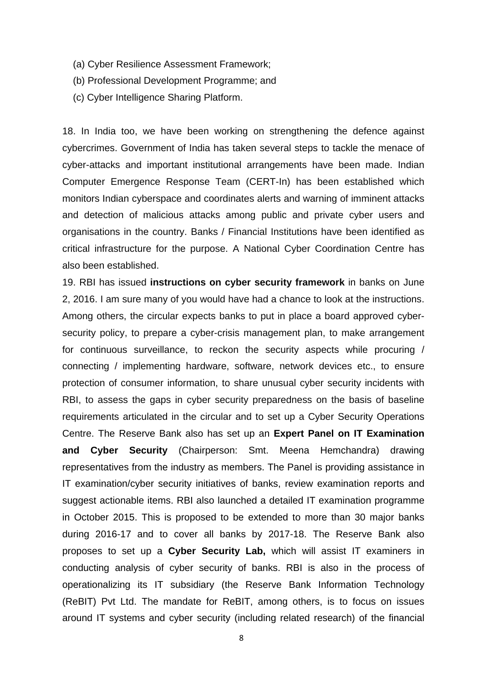- (a) Cyber Resilience Assessment Framework;
- (b) Professional Development Programme; and
- (c) Cyber Intelligence Sharing Platform.

18. In India too, we have been working on strengthening the defence against cybercrimes. Government of India has taken several steps to tackle the menace of cyber-attacks and important institutional arrangements have been made. Indian Computer Emergence Response Team (CERT-In) has been established which monitors Indian cyberspace and coordinates alerts and warning of imminent attacks and detection of malicious attacks among public and private cyber users and organisations in the country. Banks / Financial Institutions have been identified as critical infrastructure for the purpose. A National Cyber Coordination Centre has also been established.

19. RBI has issued **instructions on cyber security framework** in banks on June 2, 2016. I am sure many of you would have had a chance to look at the instructions. Among others, the circular expects banks to put in place a board approved cybersecurity policy, to prepare a cyber-crisis management plan, to make arrangement for continuous surveillance, to reckon the security aspects while procuring / connecting / implementing hardware, software, network devices etc., to ensure protection of consumer information, to share unusual cyber security incidents with RBI, to assess the gaps in cyber security preparedness on the basis of baseline requirements articulated in the circular and to set up a Cyber Security Operations Centre. The Reserve Bank also has set up an **Expert Panel on IT Examination and Cyber Security** (Chairperson: Smt. Meena Hemchandra) drawing representatives from the industry as members. The Panel is providing assistance in IT examination/cyber security initiatives of banks, review examination reports and suggest actionable items. RBI also launched a detailed IT examination programme in October 2015. This is proposed to be extended to more than 30 major banks during 2016-17 and to cover all banks by 2017-18. The Reserve Bank also proposes to set up a **Cyber Security Lab,** which will assist IT examiners in conducting analysis of cyber security of banks. RBI is also in the process of operationalizing its IT subsidiary (the Reserve Bank Information Technology (ReBIT) Pvt Ltd. The mandate for ReBIT, among others, is to focus on issues around IT systems and cyber security (including related research) of the financial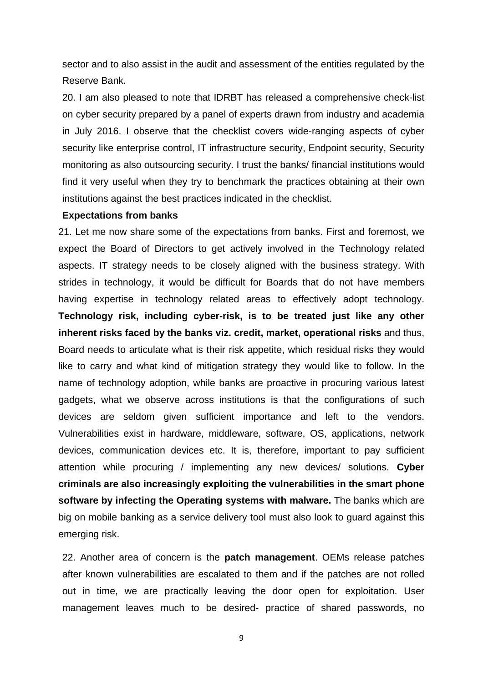sector and to also assist in the audit and assessment of the entities regulated by the Reserve Bank.

20. I am also pleased to note that IDRBT has released a comprehensive check-list on cyber security prepared by a panel of experts drawn from industry and academia in July 2016. I observe that the checklist covers wide-ranging aspects of cyber security like enterprise control, IT infrastructure security, Endpoint security, Security monitoring as also outsourcing security. I trust the banks/ financial institutions would find it very useful when they try to benchmark the practices obtaining at their own institutions against the best practices indicated in the checklist.

#### **Expectations from banks**

21. Let me now share some of the expectations from banks. First and foremost, we expect the Board of Directors to get actively involved in the Technology related aspects. IT strategy needs to be closely aligned with the business strategy. With strides in technology, it would be difficult for Boards that do not have members having expertise in technology related areas to effectively adopt technology. **Technology risk, including cyber-risk, is to be treated just like any other inherent risks faced by the banks viz. credit, market, operational risks** and thus, Board needs to articulate what is their risk appetite, which residual risks they would like to carry and what kind of mitigation strategy they would like to follow. In the name of technology adoption, while banks are proactive in procuring various latest gadgets, what we observe across institutions is that the configurations of such devices are seldom given sufficient importance and left to the vendors. Vulnerabilities exist in hardware, middleware, software, OS, applications, network devices, communication devices etc. It is, therefore, important to pay sufficient attention while procuring / implementing any new devices/ solutions. **Cyber criminals are also increasingly exploiting the vulnerabilities in the smart phone software by infecting the Operating systems with malware.** The banks which are big on mobile banking as a service delivery tool must also look to guard against this emerging risk.

22. Another area of concern is the **patch management**. OEMs release patches after known vulnerabilities are escalated to them and if the patches are not rolled out in time, we are practically leaving the door open for exploitation. User management leaves much to be desired- practice of shared passwords, no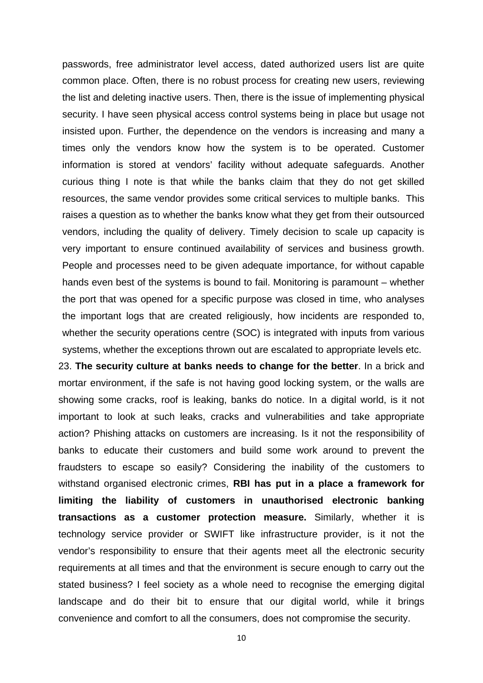passwords, free administrator level access, dated authorized users list are quite common place. Often, there is no robust process for creating new users, reviewing the list and deleting inactive users. Then, there is the issue of implementing physical security. I have seen physical access control systems being in place but usage not insisted upon. Further, the dependence on the vendors is increasing and many a times only the vendors know how the system is to be operated. Customer information is stored at vendors' facility without adequate safeguards. Another curious thing I note is that while the banks claim that they do not get skilled resources, the same vendor provides some critical services to multiple banks. This raises a question as to whether the banks know what they get from their outsourced vendors, including the quality of delivery. Timely decision to scale up capacity is very important to ensure continued availability of services and business growth. People and processes need to be given adequate importance, for without capable hands even best of the systems is bound to fail. Monitoring is paramount – whether the port that was opened for a specific purpose was closed in time, who analyses the important logs that are created religiously, how incidents are responded to, whether the security operations centre (SOC) is integrated with inputs from various systems, whether the exceptions thrown out are escalated to appropriate levels etc.

23. **The security culture at banks needs to change for the better**. In a brick and mortar environment, if the safe is not having good locking system, or the walls are showing some cracks, roof is leaking, banks do notice. In a digital world, is it not important to look at such leaks, cracks and vulnerabilities and take appropriate action? Phishing attacks on customers are increasing. Is it not the responsibility of banks to educate their customers and build some work around to prevent the fraudsters to escape so easily? Considering the inability of the customers to withstand organised electronic crimes, **RBI has put in a place a framework for limiting the liability of customers in unauthorised electronic banking transactions as a customer protection measure.** Similarly, whether it is technology service provider or SWIFT like infrastructure provider, is it not the vendor's responsibility to ensure that their agents meet all the electronic security requirements at all times and that the environment is secure enough to carry out the stated business? I feel society as a whole need to recognise the emerging digital landscape and do their bit to ensure that our digital world, while it brings convenience and comfort to all the consumers, does not compromise the security.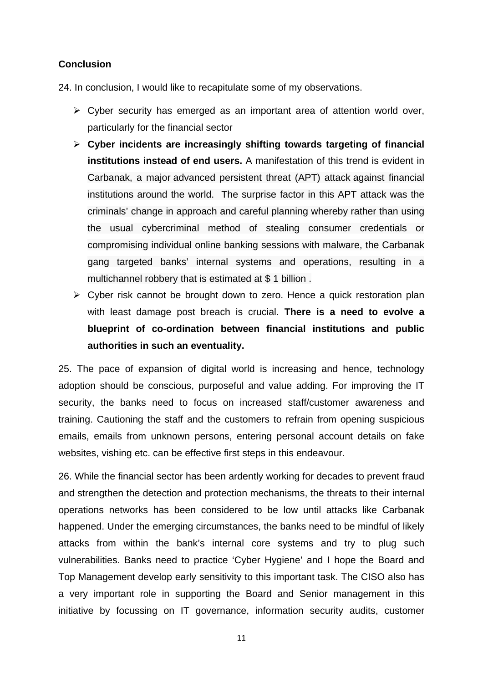## **Conclusion**

24. In conclusion, I would like to recapitulate some of my observations.

- $\triangleright$  Cyber security has emerged as an important area of attention world over, particularly for the financial sector
- **Cyber incidents are increasingly shifting towards targeting of financial institutions instead of end users.** A manifestation of this trend is evident in Carbanak, a major advanced persistent threat (APT) attack against financial institutions around the world. The surprise factor in this APT attack was the criminals' change in approach and careful planning whereby rather than using the usual cybercriminal method of stealing consumer credentials or compromising individual online banking sessions with malware, the Carbanak gang targeted banks' internal systems and operations, resulting in a multichannel robbery that is estimated at \$ 1 billion .
- $\triangleright$  Cyber risk cannot be brought down to zero. Hence a quick restoration plan with least damage post breach is crucial. **There is a need to evolve a blueprint of co-ordination between financial institutions and public authorities in such an eventuality.**

25. The pace of expansion of digital world is increasing and hence, technology adoption should be conscious, purposeful and value adding. For improving the IT security, the banks need to focus on increased staff/customer awareness and training. Cautioning the staff and the customers to refrain from opening suspicious emails, emails from unknown persons, entering personal account details on fake websites, vishing etc. can be effective first steps in this endeavour.

26. While the financial sector has been ardently working for decades to prevent fraud and strengthen the detection and protection mechanisms, the threats to their internal operations networks has been considered to be low until attacks like Carbanak happened. Under the emerging circumstances, the banks need to be mindful of likely attacks from within the bank's internal core systems and try to plug such vulnerabilities. Banks need to practice 'Cyber Hygiene' and I hope the Board and Top Management develop early sensitivity to this important task. The CISO also has a very important role in supporting the Board and Senior management in this initiative by focussing on IT governance, information security audits, customer